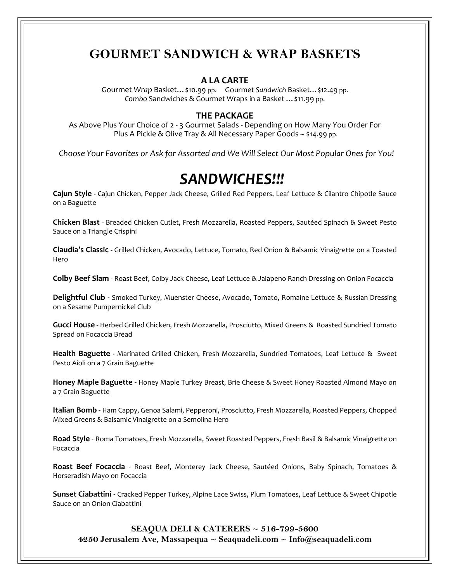## **GOURMET SANDWICH & WRAP BASKETS**

### **A LA CARTE**

Gourmet *Wrap* Basket…\$10.99 pp. Gourmet *Sandwich* Basket…\$12.49 pp. *Combo* Sandwiches & Gourmet Wraps in a Basket …\$11.99 pp.

### **THE PACKAGE**

As Above Plus Your Choice of 2 - 3 Gourmet Salads - Depending on How Many You Order For Plus A Pickle & Olive Tray & All Necessary Paper Goods ~ \$14.99 pp.

 *Choose Your Favorites or Ask for Assorted and We Will Select Our Most Popular Ones for You!*

# *SANDWICHES!!!*

**Cajun Style -** Cajun Chicken, Pepper Jack Cheese, Grilled Red Peppers, Leaf Lettuce & Cilantro Chipotle Sauce on a Baguette

**Chicken Blast** - Breaded Chicken Cutlet, Fresh Mozzarella, Roasted Peppers, Sautéed Spinach & Sweet Pesto Sauce on a Triangle Crispini

**Claudia's Classic** - Grilled Chicken, Avocado, Lettuce, Tomato, Red Onion & Balsamic Vinaigrette on a Toasted Hero

**Colby Beef Slam** - Roast Beef, Colby Jack Cheese, Leaf Lettuce & Jalapeno Ranch Dressing on Onion Focaccia

**Delightful Club** - Smoked Turkey, Muenster Cheese, Avocado, Tomato, Romaine Lettuce & Russian Dressing on a Sesame Pumpernickel Club

**Gucci House -** Herbed Grilled Chicken, Fresh Mozzarella, Prosciutto, Mixed Greens & Roasted Sundried Tomato Spread on Focaccia Bread

**Health Baguette -** Marinated Grilled Chicken, Fresh Mozzarella, Sundried Tomatoes, Leaf Lettuce & Sweet Pesto Aioli on a 7 Grain Baguette

**Honey Maple Baguette** - Honey Maple Turkey Breast, Brie Cheese & Sweet Honey Roasted Almond Mayo on a 7 Grain Baguette

**Italian Bomb** - Ham Cappy, Genoa Salami, Pepperoni, Prosciutto, Fresh Mozzarella, Roasted Peppers, Chopped Mixed Greens & Balsamic Vinaigrette on a Semolina Hero

**Road Style** - Roma Tomatoes, Fresh Mozzarella, Sweet Roasted Peppers, Fresh Basil & Balsamic Vinaigrette on Focaccia

**Roast Beef Focaccia** - Roast Beef, Monterey Jack Cheese, Sautéed Onions, Baby Spinach, Tomatoes & Horseradish Mayo on Focaccia

**Sunset Ciabattini** - Cracked Pepper Turkey, Alpine Lace Swiss, Plum Tomatoes, Leaf Lettuce & Sweet Chipotle Sauce on an Onion Ciabattini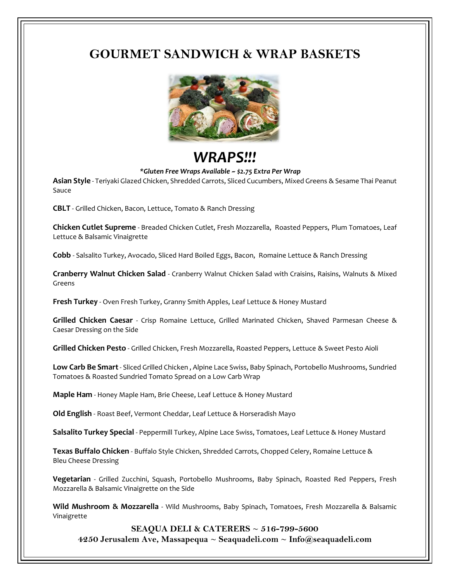## **GOURMET SANDWICH & WRAP BASKETS**



# *WRAPS!!!*

#### *\*Gluten Free Wraps Available ~ \$2.75 Extra Per Wrap*

**Asian Style** - Teriyaki Glazed Chicken, Shredded Carrots, Sliced Cucumbers, Mixed Greens & Sesame Thai Peanut Sauce

**CBLT** - Grilled Chicken, Bacon, Lettuce, Tomato & Ranch Dressing

**Chicken Cutlet Supreme** - Breaded Chicken Cutlet, Fresh Mozzarella, Roasted Peppers, Plum Tomatoes, Leaf Lettuce & Balsamic Vinaigrette

**Cobb** - Salsalito Turkey, Avocado, Sliced Hard Boiled Eggs, Bacon, Romaine Lettuce & Ranch Dressing

**Cranberry Walnut Chicken Salad** - Cranberry Walnut Chicken Salad with Craisins, Raisins, Walnuts & Mixed Greens

**Fresh Turkey** - Oven Fresh Turkey, Granny Smith Apples, Leaf Lettuce & Honey Mustard

**Grilled Chicken Caesar** - Crisp Romaine Lettuce, Grilled Marinated Chicken, Shaved Parmesan Cheese & Caesar Dressing on the Side

**Grilled Chicken Pesto** - Grilled Chicken, Fresh Mozzarella, Roasted Peppers, Lettuce & Sweet Pesto Aioli

**Low Carb Be Smart**- Sliced Grilled Chicken , Alpine Lace Swiss, Baby Spinach, Portobello Mushrooms, Sundried Tomatoes & Roasted Sundried Tomato Spread on a Low Carb Wrap

**Maple Ham** - Honey Maple Ham, Brie Cheese, Leaf Lettuce & Honey Mustard

**Old English** - Roast Beef, Vermont Cheddar, Leaf Lettuce & Horseradish Mayo

**Salsalito Turkey Special** - Peppermill Turkey, Alpine Lace Swiss, Tomatoes, Leaf Lettuce & Honey Mustard

**Texas Buffalo Chicken** - Buffalo Style Chicken, Shredded Carrots, Chopped Celery, Romaine Lettuce & Bleu Cheese Dressing

**Vegetarian** - Grilled Zucchini, Squash, Portobello Mushrooms, Baby Spinach, Roasted Red Peppers, Fresh Mozzarella & Balsamic Vinaigrette on the Side

**Wild Mushroom & Mozzarella** - Wild Mushrooms, Baby Spinach, Tomatoes, Fresh Mozzarella & Balsamic Vinaigrette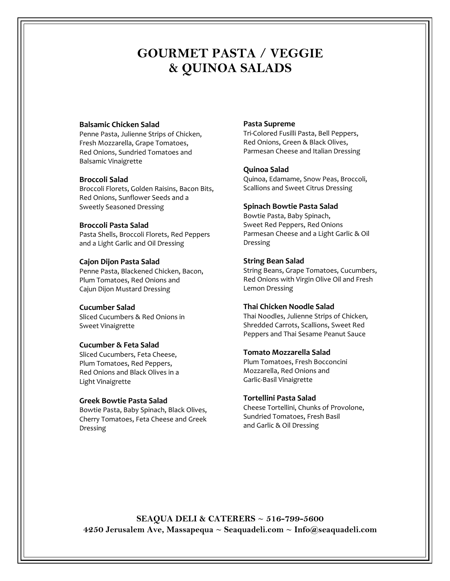## **GOURMET PASTA / VEGGIE & QUINOA SALADS**

#### **Balsamic Chicken Salad**

Penne Pasta, Julienne Strips of Chicken, Fresh Mozzarella, Grape Tomatoes, Red Onions, Sundried Tomatoes and Balsamic Vinaigrette

#### **Broccoli Salad**

Broccoli Florets, Golden Raisins, Bacon Bits, Red Onions, Sunflower Seeds and a Sweetly Seasoned Dressing

#### **Broccoli Pasta Salad**

Pasta Shells, Broccoli Florets, Red Peppers and a Light Garlic and Oil Dressing

#### **Cajon Dijon Pasta Salad**

Penne Pasta, Blackened Chicken, Bacon, Plum Tomatoes, Red Onions and Cajun Dijon Mustard Dressing

#### **Cucumber Salad**

Sliced Cucumbers & Red Onions in Sweet Vinaigrette

#### **Cucumber & Feta Salad**

Sliced Cucumbers, Feta Cheese, Plum Tomatoes, Red Peppers, Red Onions and Black Olives in a Light Vinaigrette

#### **Greek Bowtie Pasta Salad**

Bowtie Pasta, Baby Spinach, Black Olives, Cherry Tomatoes, Feta Cheese and Greek Dressing

#### **Pasta Supreme**

Tri-Colored Fusilli Pasta, Bell Peppers, Red Onions, Green & Black Olives, Parmesan Cheese and Italian Dressing

#### **Quinoa Salad**

Quinoa, Edamame, Snow Peas, Broccoli, Scallions and Sweet Citrus Dressing

#### **Spinach Bowtie Pasta Salad**

Bowtie Pasta, Baby Spinach, Sweet Red Peppers, Red Onions Parmesan Cheese and a Light Garlic & Oil Dressing

#### **String Bean Salad**

String Beans, Grape Tomatoes, Cucumbers, Red Onions with Virgin Olive Oil and Fresh Lemon Dressing

#### **Thai Chicken Noodle Salad**

Thai Noodles, Julienne Strips of Chicken, Shredded Carrots, Scallions, Sweet Red Peppers and Thai Sesame Peanut Sauce

#### **Tomato Mozzarella Salad**

Plum Tomatoes, Fresh Bocconcini Mozzarella, Red Onions and Garlic-Basil Vinaigrette

#### **Tortellini Pasta Salad**

Cheese Tortellini, Chunks of Provolone, Sundried Tomatoes, Fresh Basil and Garlic & Oil Dressing